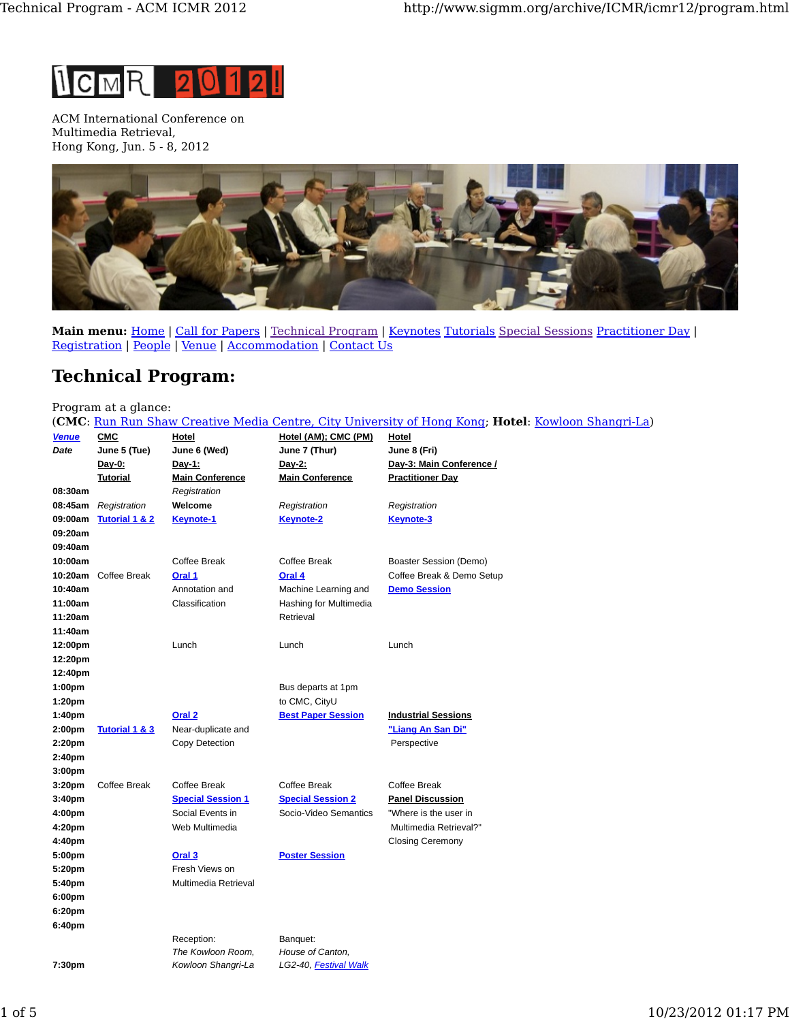

ACM International Conference on Multimedia Retrieval, Hong Kong, Jun. 5 - 8, 2012



**Main menu:** Home | Call for Papers | Technical Program | Keynotes Tutorials Special Sessions Practitioner Day | Registration | People | Venue | Accommodation | Contact Us

## **Technical Program:**

## Program at a glance:

(**CMC**: Run Run Shaw Creative Media Centre, City University of Hong Kong; **Hotel**: Kowloon Shangri-La)

| <b>Venue</b>       | CMC                       | Hotel                                  | Hotel (AM); CMC (PM)      | Hotel                      |
|--------------------|---------------------------|----------------------------------------|---------------------------|----------------------------|
| Date               | June 5 (Tue)              | June 6 (Wed)                           | June 7 (Thur)             | June 8 (Fri)               |
|                    | Day-0:                    | Day-1:                                 | Day-2:                    | Day-3: Main Conference /   |
| 08:30am            | <b>Tutorial</b>           | <b>Main Conference</b><br>Registration | <b>Main Conference</b>    | <b>Practitioner Day</b>    |
| 08:45am            | Registration              | Welcome                                | Registration              | Registration               |
| 09:00am            | <b>Tutorial 1 &amp; 2</b> | <b>Keynote-1</b>                       | <b>Keynote-2</b>          | <b>Keynote-3</b>           |
| 09:20am            |                           |                                        |                           |                            |
| 09:40am            |                           |                                        |                           |                            |
| 10:00am            |                           | Coffee Break                           | Coffee Break              | Boaster Session (Demo)     |
|                    | 10:20am Coffee Break      | Oral 1                                 | Oral 4                    | Coffee Break & Demo Setup  |
| 10:40am            |                           | Annotation and                         | Machine Learning and      | <b>Demo Session</b>        |
| 11:00am            |                           | Classification                         | Hashing for Multimedia    |                            |
| 11:20am            |                           |                                        | Retrieval                 |                            |
| 11:40am            |                           |                                        |                           |                            |
| 12:00pm            |                           | Lunch                                  | Lunch                     | Lunch                      |
| 12:20pm            |                           |                                        |                           |                            |
| 12:40pm            |                           |                                        |                           |                            |
| 1:00pm             |                           |                                        | Bus departs at 1pm        |                            |
| 1:20pm             |                           |                                        | to CMC, CityU             |                            |
| 1:40pm             |                           | Oral <sub>2</sub>                      | <b>Best Paper Session</b> | <b>Industrial Sessions</b> |
| 2:00pm             | <b>Tutorial 1 &amp; 3</b> | Near-duplicate and                     |                           | "Liang An San Di"          |
| 2:20pm             |                           | Copy Detection                         |                           | Perspective                |
| 2:40pm             |                           |                                        |                           |                            |
| 3:00 <sub>pm</sub> |                           |                                        |                           |                            |
| 3:20pm             | <b>Coffee Break</b>       | Coffee Break                           | <b>Coffee Break</b>       | Coffee Break               |
| 3:40pm             |                           | <b>Special Session 1</b>               | <b>Special Session 2</b>  | <b>Panel Discussion</b>    |
| 4:00pm             |                           | Social Events in                       | Socio-Video Semantics     | "Where is the user in      |
| 4:20pm             |                           | Web Multimedia                         |                           | Multimedia Retrieval?"     |
| 4:40pm             |                           |                                        |                           | <b>Closing Ceremony</b>    |
| 5:00pm             |                           | Oral 3                                 | <b>Poster Session</b>     |                            |
| 5:20pm             |                           | Fresh Views on                         |                           |                            |
| 5:40pm             |                           | Multimedia Retrieval                   |                           |                            |
| 6:00pm             |                           |                                        |                           |                            |
| 6:20pm             |                           |                                        |                           |                            |
| 6:40pm             |                           |                                        |                           |                            |
|                    |                           | Reception:                             | Banquet:                  |                            |
|                    |                           | The Kowloon Room,                      | House of Canton,          |                            |
| 7:30pm             |                           | Kowloon Shangri-La                     | LG2-40, Festival Walk     |                            |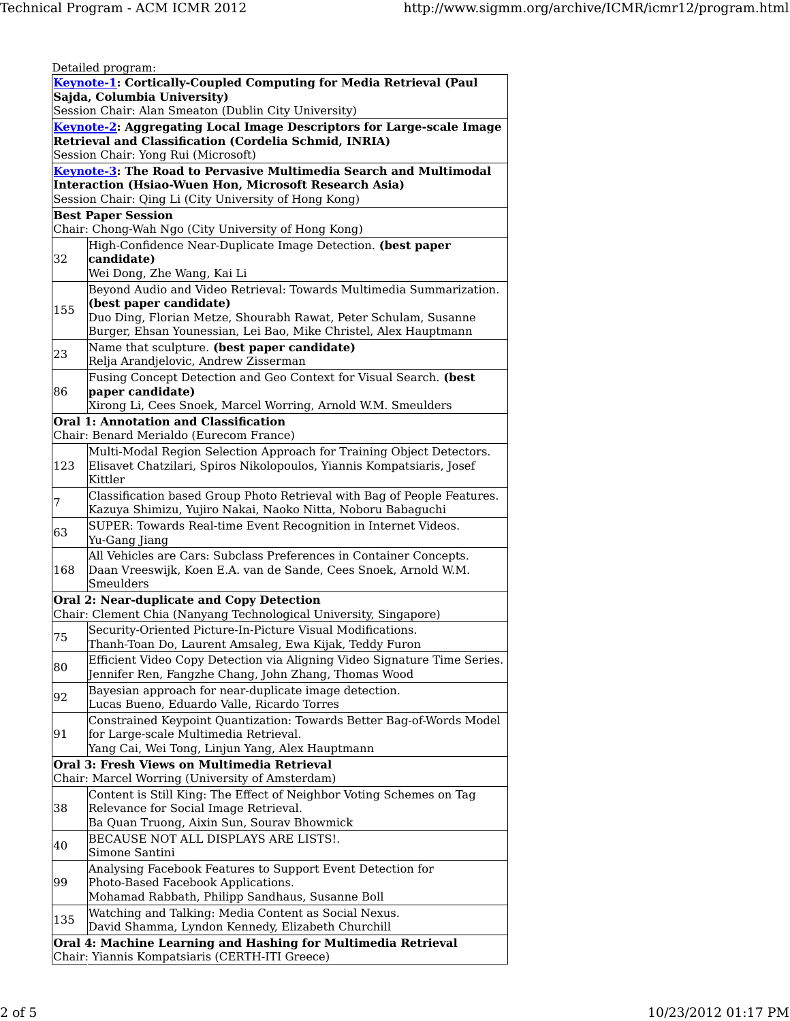|                                                       | Detailed program:                                                                                                                             |  |  |  |  |
|-------------------------------------------------------|-----------------------------------------------------------------------------------------------------------------------------------------------|--|--|--|--|
|                                                       | Keynote-1: Cortically-Coupled Computing for Media Retrieval (Paul                                                                             |  |  |  |  |
|                                                       | Sajda, Columbia University)                                                                                                                   |  |  |  |  |
| Session Chair: Alan Smeaton (Dublin City University)  |                                                                                                                                               |  |  |  |  |
|                                                       | Keynote-2: Aggregating Local Image Descriptors for Large-scale Image                                                                          |  |  |  |  |
| Retrieval and Classification (Cordelia Schmid, INRIA) |                                                                                                                                               |  |  |  |  |
|                                                       | Session Chair: Yong Rui (Microsoft)                                                                                                           |  |  |  |  |
|                                                       | Keynote-3: The Road to Pervasive Multimedia Search and Multimodal<br>Interaction (Hsiao-Wuen Hon, Microsoft Research Asia)                    |  |  |  |  |
|                                                       | Session Chair: Qing Li (City University of Hong Kong)                                                                                         |  |  |  |  |
|                                                       | <b>Best Paper Session</b>                                                                                                                     |  |  |  |  |
|                                                       | Chair: Chong-Wah Ngo (City University of Hong Kong)                                                                                           |  |  |  |  |
|                                                       | High-Confidence Near-Duplicate Image Detection. (best paper                                                                                   |  |  |  |  |
| 32                                                    | candidate)                                                                                                                                    |  |  |  |  |
|                                                       | Wei Dong, Zhe Wang, Kai Li                                                                                                                    |  |  |  |  |
|                                                       | Beyond Audio and Video Retrieval: Towards Multimedia Summarization.                                                                           |  |  |  |  |
| 155                                                   | (best paper candidate)                                                                                                                        |  |  |  |  |
|                                                       | Duo Ding, Florian Metze, Shourabh Rawat, Peter Schulam, Susanne                                                                               |  |  |  |  |
|                                                       | Burger, Ehsan Younessian, Lei Bao, Mike Christel, Alex Hauptmann                                                                              |  |  |  |  |
| 23                                                    | Name that sculpture. (best paper candidate)                                                                                                   |  |  |  |  |
|                                                       | Relja Arandjelovic, Andrew Zisserman                                                                                                          |  |  |  |  |
|                                                       | Fusing Concept Detection and Geo Context for Visual Search. (best                                                                             |  |  |  |  |
| 86                                                    | paper candidate)                                                                                                                              |  |  |  |  |
|                                                       | Xirong Li, Cees Snoek, Marcel Worring, Arnold W.M. Smeulders                                                                                  |  |  |  |  |
|                                                       | <b>Oral 1: Annotation and Classification</b><br>Chair: Benard Merialdo (Eurecom France)                                                       |  |  |  |  |
|                                                       |                                                                                                                                               |  |  |  |  |
| 123                                                   | Multi-Modal Region Selection Approach for Training Object Detectors.<br>Elisavet Chatzilari, Spiros Nikolopoulos, Yiannis Kompatsiaris, Josef |  |  |  |  |
|                                                       | Kittler                                                                                                                                       |  |  |  |  |
|                                                       | Classification based Group Photo Retrieval with Bag of People Features.                                                                       |  |  |  |  |
| 7                                                     | Kazuya Shimizu, Yujiro Nakai, Naoko Nitta, Noboru Babaguchi                                                                                   |  |  |  |  |
|                                                       | SUPER: Towards Real-time Event Recognition in Internet Videos.                                                                                |  |  |  |  |
| 63                                                    | Yu-Gang Jiang                                                                                                                                 |  |  |  |  |
|                                                       | All Vehicles are Cars: Subclass Preferences in Container Concepts.                                                                            |  |  |  |  |
| 168                                                   | Daan Vreeswijk, Koen E.A. van de Sande, Cees Snoek, Arnold W.M.                                                                               |  |  |  |  |
|                                                       | Smeulders                                                                                                                                     |  |  |  |  |
|                                                       | Oral 2: Near-duplicate and Copy Detection                                                                                                     |  |  |  |  |
|                                                       | Chair: Clement Chia (Nanyang Technological University, Singapore)                                                                             |  |  |  |  |
| 75                                                    | Security-Oriented Picture-In-Picture Visual Modifications.                                                                                    |  |  |  |  |
|                                                       | Thanh-Toan Do, Laurent Amsaleg, Ewa Kijak, Teddy Furon                                                                                        |  |  |  |  |
| 80                                                    | Efficient Video Copy Detection via Aligning Video Signature Time Series.                                                                      |  |  |  |  |
|                                                       | Jennifer Ren, Fangzhe Chang, John Zhang, Thomas Wood                                                                                          |  |  |  |  |
| 92                                                    | Bayesian approach for near-duplicate image detection.                                                                                         |  |  |  |  |
|                                                       | Lucas Bueno, Eduardo Valle, Ricardo Torres                                                                                                    |  |  |  |  |
| 91                                                    | Constrained Keypoint Quantization: Towards Better Bag-of-Words Model<br>for Large-scale Multimedia Retrieval.                                 |  |  |  |  |
|                                                       | Yang Cai, Wei Tong, Linjun Yang, Alex Hauptmann                                                                                               |  |  |  |  |
|                                                       | Oral 3: Fresh Views on Multimedia Retrieval                                                                                                   |  |  |  |  |
|                                                       | Chair: Marcel Worring (University of Amsterdam)                                                                                               |  |  |  |  |
|                                                       | Content is Still King: The Effect of Neighbor Voting Schemes on Tag                                                                           |  |  |  |  |
| 38                                                    | Relevance for Social Image Retrieval.                                                                                                         |  |  |  |  |
|                                                       | Ba Quan Truong, Aixin Sun, Sourav Bhowmick                                                                                                    |  |  |  |  |
|                                                       | BECAUSE NOT ALL DISPLAYS ARE LISTS!.                                                                                                          |  |  |  |  |
| 40                                                    | Simone Santini                                                                                                                                |  |  |  |  |
|                                                       | Analysing Facebook Features to Support Event Detection for                                                                                    |  |  |  |  |
| 99                                                    | Photo-Based Facebook Applications.                                                                                                            |  |  |  |  |
|                                                       | Mohamad Rabbath, Philipp Sandhaus, Susanne Boll                                                                                               |  |  |  |  |
| 135                                                   | Watching and Talking: Media Content as Social Nexus.                                                                                          |  |  |  |  |
|                                                       | David Shamma, Lyndon Kennedy, Elizabeth Churchill                                                                                             |  |  |  |  |
|                                                       | Oral 4: Machine Learning and Hashing for Multimedia Retrieval                                                                                 |  |  |  |  |
|                                                       | Chair: Yiannis Kompatsiaris (CERTH-ITI Greece)                                                                                                |  |  |  |  |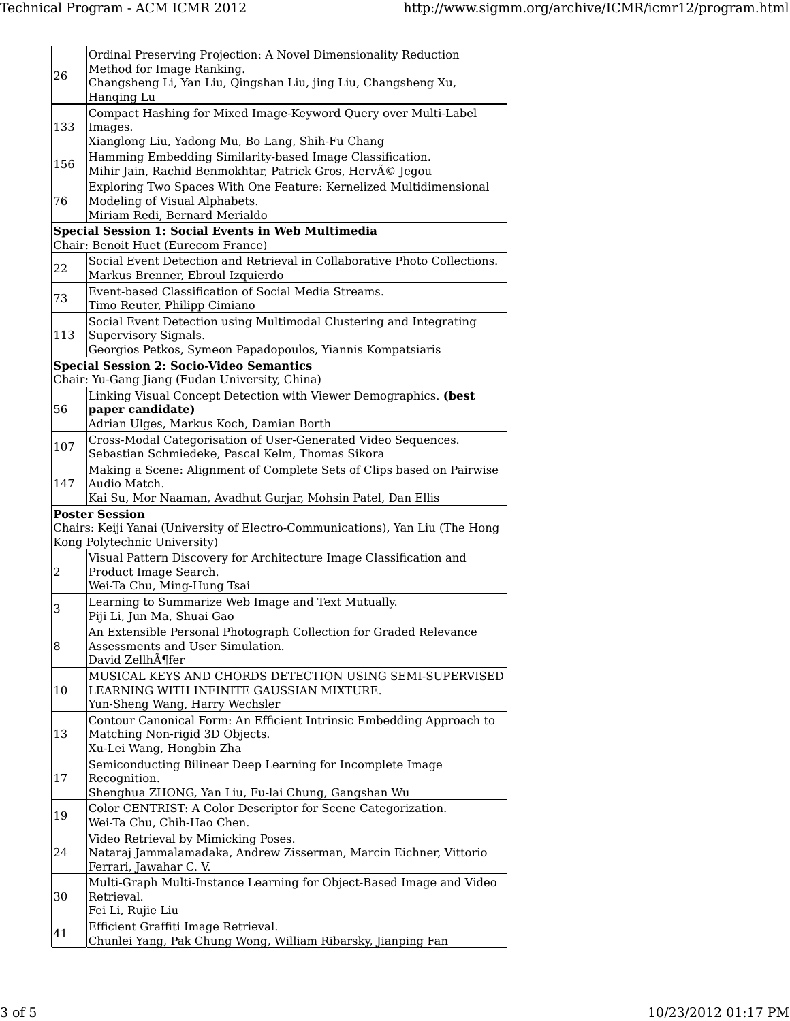| 26                                                 | Ordinal Preserving Projection: A Novel Dimensionality Reduction<br>Method for Image Ranking.<br>Changsheng Li, Yan Liu, Qingshan Liu, jing Liu, Changsheng Xu,<br>Hanging Lu |  |  |  |  |
|----------------------------------------------------|------------------------------------------------------------------------------------------------------------------------------------------------------------------------------|--|--|--|--|
| 133                                                | Compact Hashing for Mixed Image-Keyword Query over Multi-Label<br>Images.<br>Xianglong Liu, Yadong Mu, Bo Lang, Shih-Fu Chang                                                |  |  |  |  |
| 156                                                | Hamming Embedding Similarity-based Image Classification.                                                                                                                     |  |  |  |  |
|                                                    | Mihir Jain, Rachid Benmokhtar, Patrick Gros, Hervé Jegou                                                                                                                     |  |  |  |  |
| 76                                                 | Exploring Two Spaces With One Feature: Kernelized Multidimensional<br>Modeling of Visual Alphabets.<br>Miriam Redi, Bernard Merialdo                                         |  |  |  |  |
| Special Session 1: Social Events in Web Multimedia |                                                                                                                                                                              |  |  |  |  |
|                                                    | Chair: Benoit Huet (Eurecom France)<br>Social Event Detection and Retrieval in Collaborative Photo Collections.                                                              |  |  |  |  |
| 22                                                 | Markus Brenner, Ebroul Izquierdo                                                                                                                                             |  |  |  |  |
| 73                                                 | Event-based Classification of Social Media Streams.<br>Timo Reuter, Philipp Cimiano                                                                                          |  |  |  |  |
| 113                                                | Social Event Detection using Multimodal Clustering and Integrating<br>Supervisory Signals.                                                                                   |  |  |  |  |
|                                                    | Georgios Petkos, Symeon Papadopoulos, Yiannis Kompatsiaris                                                                                                                   |  |  |  |  |
|                                                    | <b>Special Session 2: Socio-Video Semantics</b><br>Chair: Yu-Gang Jiang (Fudan University, China)                                                                            |  |  |  |  |
| 56                                                 | Linking Visual Concept Detection with Viewer Demographics. (best<br>paper candidate)<br>Adrian Ulges, Markus Koch, Damian Borth                                              |  |  |  |  |
| 107                                                | Cross-Modal Categorisation of User-Generated Video Sequences.<br>Sebastian Schmiedeke, Pascal Kelm, Thomas Sikora                                                            |  |  |  |  |
| 147                                                | Making a Scene: Alignment of Complete Sets of Clips based on Pairwise<br>Audio Match.<br>Kai Su, Mor Naaman, Avadhut Gurjar, Mohsin Patel, Dan Ellis                         |  |  |  |  |
|                                                    | <b>Poster Session</b>                                                                                                                                                        |  |  |  |  |
|                                                    | Chairs: Keiji Yanai (University of Electro-Communications), Yan Liu (The Hong<br>Kong Polytechnic University)                                                                |  |  |  |  |
|                                                    | Visual Pattern Discovery for Architecture Image Classification and                                                                                                           |  |  |  |  |
| $\boldsymbol{2}$                                   | Product Image Search.<br>Wei-Ta Chu, Ming-Hung Tsai                                                                                                                          |  |  |  |  |
| 3                                                  | Learning to Summarize Web Image and Text Mutually.                                                                                                                           |  |  |  |  |
|                                                    | Piji Li, Jun Ma, Shuai Gao                                                                                                                                                   |  |  |  |  |
| 8                                                  | An Extensible Personal Photograph Collection for Graded Relevance<br>Assessments and User Simulation.                                                                        |  |  |  |  |
| 10                                                 | David Zellh $\tilde{A}$ ¶fer<br>MUSICAL KEYS AND CHORDS DETECTION USING SEMI-SUPERVISED<br>LEARNING WITH INFINITE GAUSSIAN MIXTURE.                                          |  |  |  |  |
|                                                    | Yun-Sheng Wang, Harry Wechsler<br>Contour Canonical Form: An Efficient Intrinsic Embedding Approach to                                                                       |  |  |  |  |
| 13                                                 | Matching Non-rigid 3D Objects.<br>Xu-Lei Wang, Hongbin Zha                                                                                                                   |  |  |  |  |
| 17                                                 | Semiconducting Bilinear Deep Learning for Incomplete Image<br>Recognition.                                                                                                   |  |  |  |  |
| 19                                                 | Shenghua ZHONG, Yan Liu, Fu-lai Chung, Gangshan Wu<br>Color CENTRIST: A Color Descriptor for Scene Categorization.<br>Wei-Ta Chu, Chih-Hao Chen.                             |  |  |  |  |
| 24                                                 | Video Retrieval by Mimicking Poses.<br>Nataraj Jammalamadaka, Andrew Zisserman, Marcin Eichner, Vittorio<br>Ferrari, Jawahar C.V.                                            |  |  |  |  |
| 30                                                 | Multi-Graph Multi-Instance Learning for Object-Based Image and Video<br>Retrieval.                                                                                           |  |  |  |  |
| 41                                                 | Fei Li, Rujie Liu<br>Efficient Graffiti Image Retrieval.                                                                                                                     |  |  |  |  |
|                                                    | Chunlei Yang, Pak Chung Wong, William Ribarsky, Jianping Fan                                                                                                                 |  |  |  |  |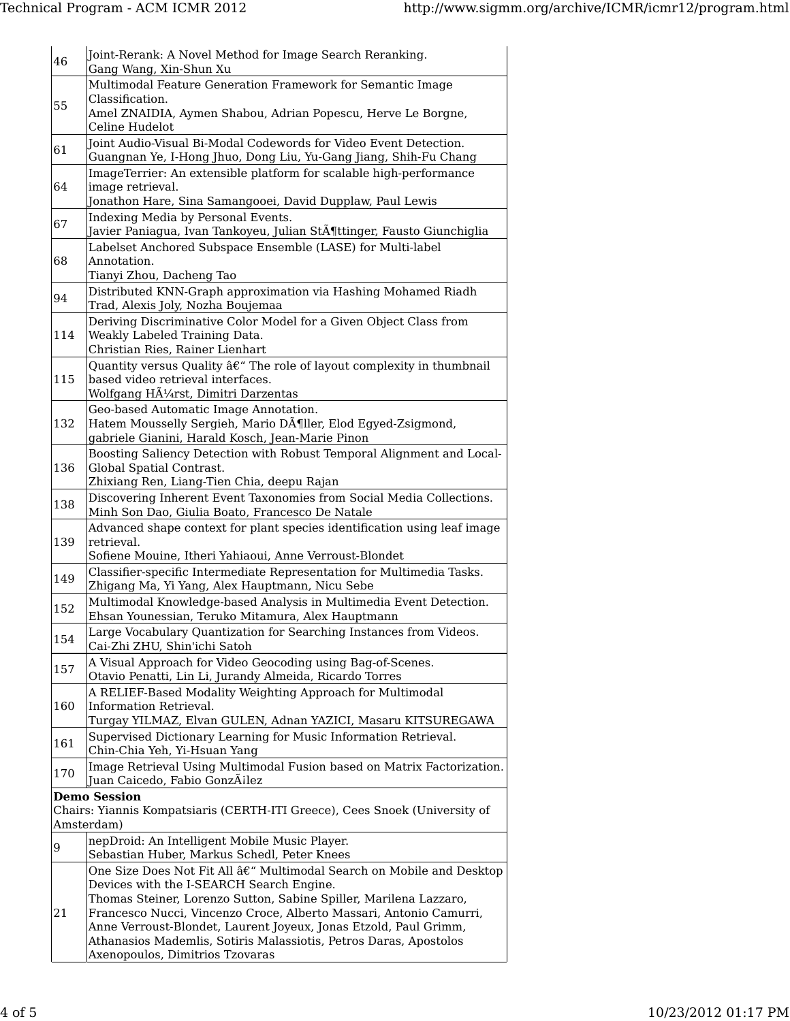| 46  | Joint-Rerank: A Novel Method for Image Search Reranking.<br>Gang Wang, Xin-Shun Xu                                   |
|-----|----------------------------------------------------------------------------------------------------------------------|
|     | Multimodal Feature Generation Framework for Semantic Image                                                           |
| 55  | Classification.                                                                                                      |
|     | Amel ZNAIDIA, Aymen Shabou, Adrian Popescu, Herve Le Borgne,                                                         |
|     | Celine Hudelot                                                                                                       |
| 61  | Joint Audio-Visual Bi-Modal Codewords for Video Event Detection.                                                     |
|     | Guangnan Ye, I-Hong Jhuo, Dong Liu, Yu-Gang Jiang, Shih-Fu Chang                                                     |
|     | ImageTerrier: An extensible platform for scalable high-performance                                                   |
| 64  | image retrieval.<br>Jonathon Hare, Sina Samangooei, David Dupplaw, Paul Lewis                                        |
|     | Indexing Media by Personal Events.                                                                                   |
| 67  | Javier Paniagua, Ivan Tankoyeu, Julian Stöttinger, Fausto Giunchiglia                                                |
|     | Labelset Anchored Subspace Ensemble (LASE) for Multi-label                                                           |
| 68  | Annotation.                                                                                                          |
|     | Tianyi Zhou, Dacheng Tao                                                                                             |
|     | Distributed KNN-Graph approximation via Hashing Mohamed Riadh                                                        |
| 94  | Trad, Alexis Joly, Nozha Boujemaa                                                                                    |
|     | Deriving Discriminative Color Model for a Given Object Class from                                                    |
| 114 | Weakly Labeled Training Data.                                                                                        |
|     | Christian Ries, Rainer Lienhart                                                                                      |
|     | Quantity versus Quality â€" The role of layout complexity in thumbnail                                               |
| 115 | based video retrieval interfaces.                                                                                    |
|     | Wolfgang Hürst, Dimitri Darzentas                                                                                    |
| 132 | Geo-based Automatic Image Annotation.<br>Hatem Mousselly Sergieh, Mario Döller, Elod Egyed-Zsigmond,                 |
|     | gabriele Gianini, Harald Kosch, Jean-Marie Pinon                                                                     |
|     | Boosting Saliency Detection with Robust Temporal Alignment and Local-                                                |
| 136 | Global Spatial Contrast.                                                                                             |
|     | Zhixiang Ren, Liang-Tien Chia, deepu Rajan                                                                           |
| 138 | Discovering Inherent Event Taxonomies from Social Media Collections.                                                 |
|     | Minh Son Dao, Giulia Boato, Francesco De Natale                                                                      |
|     | Advanced shape context for plant species identification using leaf image                                             |
| 139 | retrieval.                                                                                                           |
|     | Sofiene Mouine, Itheri Yahiaoui, Anne Verroust-Blondet                                                               |
| 149 | Classifier-specific Intermediate Representation for Multimedia Tasks.                                                |
|     | Zhigang Ma, Yi Yang, Alex Hauptmann, Nicu Sebe<br>Multimodal Knowledge-based Analysis in Multimedia Event Detection. |
| 152 | Ehsan Younessian, Teruko Mitamura, Alex Hauptmann                                                                    |
|     | Large Vocabulary Quantization for Searching Instances from Videos.                                                   |
| 154 | Cai-Zhi ZHU, Shin'ichi Satoh                                                                                         |
|     | A Visual Approach for Video Geocoding using Bag-of-Scenes.                                                           |
| 157 | Otavio Penatti, Lin Li, Jurandy Almeida, Ricardo Torres                                                              |
|     | A RELIEF-Based Modality Weighting Approach for Multimodal                                                            |
| 160 | Information Retrieval.                                                                                               |
|     | Turgay YILMAZ, Elvan GULEN, Adnan YAZICI, Masaru KITSUREGAWA                                                         |
| 161 | Supervised Dictionary Learning for Music Information Retrieval.                                                      |
|     | Chin-Chia Yeh, Yi-Hsuan Yang                                                                                         |
| 170 | Image Retrieval Using Multimodal Fusion based on Matrix Factorization.                                               |
|     | Juan Caicedo, Fabio GonzÃilez<br><b>Demo Session</b>                                                                 |
|     | Chairs: Yiannis Kompatsiaris (CERTH-ITI Greece), Cees Snoek (University of                                           |
|     | Amsterdam)                                                                                                           |
|     | nepDroid: An Intelligent Mobile Music Player.                                                                        |
| 9   | Sebastian Huber, Markus Schedl, Peter Knees                                                                          |
|     | One Size Does Not Fit All â€" Multimodal Search on Mobile and Desktop                                                |
|     | Devices with the I-SEARCH Search Engine.                                                                             |
|     | Thomas Steiner, Lorenzo Sutton, Sabine Spiller, Marilena Lazzaro,                                                    |
| 21  | Francesco Nucci, Vincenzo Croce, Alberto Massari, Antonio Camurri,                                                   |
|     | Anne Verroust-Blondet, Laurent Joyeux, Jonas Etzold, Paul Grimm,                                                     |
|     | Athanasios Mademlis, Sotiris Malassiotis, Petros Daras, Apostolos<br>Axenopoulos, Dimitrios Tzovaras                 |
|     |                                                                                                                      |